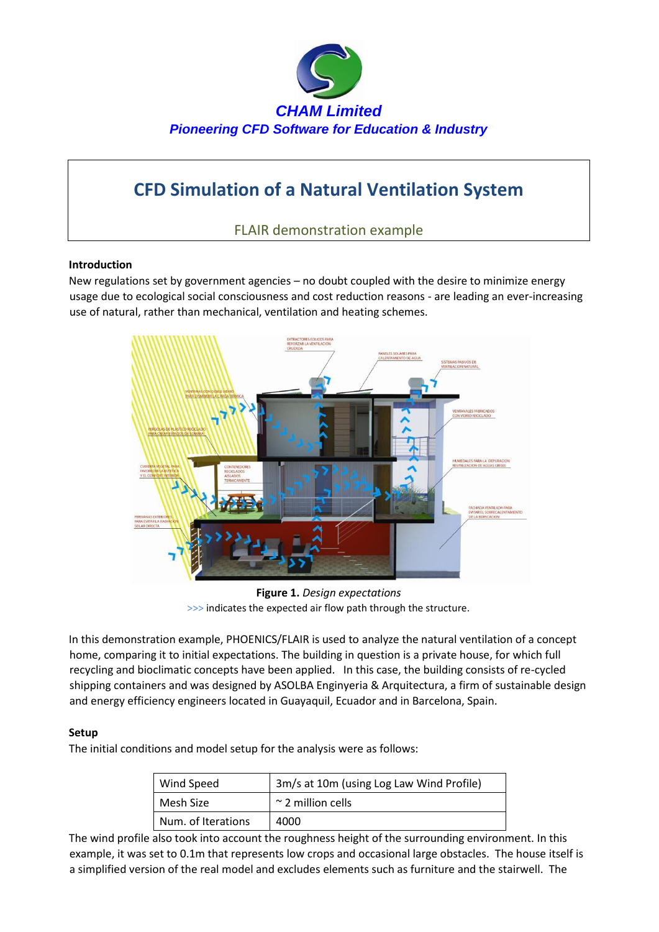

# **CFD Simulation of a Natural Ventilation System**

FLAIR demonstration example

## **Introduction**

New regulations set by government agencies – no doubt coupled with the desire to minimize energy usage due to ecological social consciousness and cost reduction reasons - are leading an ever-increasing use of natural, rather than mechanical, ventilation and heating schemes.



**Figure 1.** *Design expectations*  >>> indicates the expected air flow path through the structure.

In this demonstration example, PHOENICS/FLAIR is used to analyze the natural ventilation of a concept home, comparing it to initial expectations. The building in question is a private house, for which full recycling and bioclimatic concepts have been applied. In this case, the building consists of re-cycled shipping containers and was designed by ASOLBA Enginyeria & Arquitectura, a firm of sustainable design and energy efficiency engineers located in Guayaquil, Ecuador and in Barcelona, Spain.

## **Setup**

The initial conditions and model setup for the analysis were as follows:

| Wind Speed         | 3m/s at 10m (using Log Law Wind Profile) |
|--------------------|------------------------------------------|
| Mesh Size          | $\sim$ 2 million cells                   |
| Num. of Iterations | 4000                                     |

The wind profile also took into account the roughness height of the surrounding environment. In this example, it was set to 0.1m that represents low crops and occasional large obstacles. The house itself is a simplified version of the real model and excludes elements such as furniture and the stairwell. The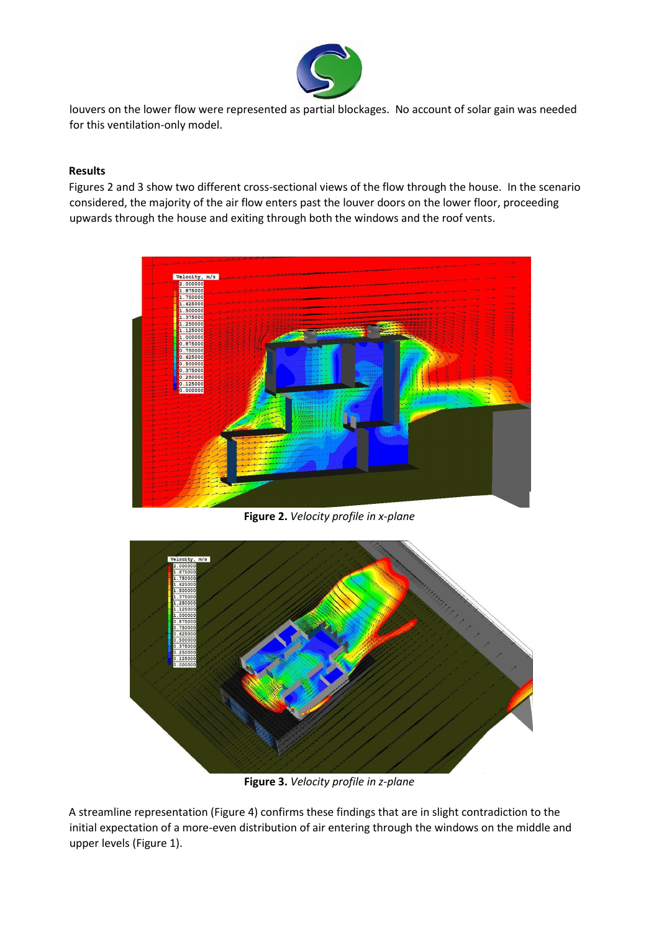

louvers on the lower flow were represented as partial blockages. No account of solar gain was needed for this ventilation-only model.

### **Results**

Figures 2 and 3 show two different cross-sectional views of the flow through the house. In the scenario considered, the majority of the air flow enters past the louver doors on the lower floor, proceeding upwards through the house and exiting through both the windows and the roof vents.



**Figure 2.** *Velocity profile in x-plane*



**Figure 3.** *Velocity profile in z-plane*

A streamline representation (Figure 4) confirms these findings that are in slight contradiction to the initial expectation of a more-even distribution of air entering through the windows on the middle and upper levels (Figure 1).